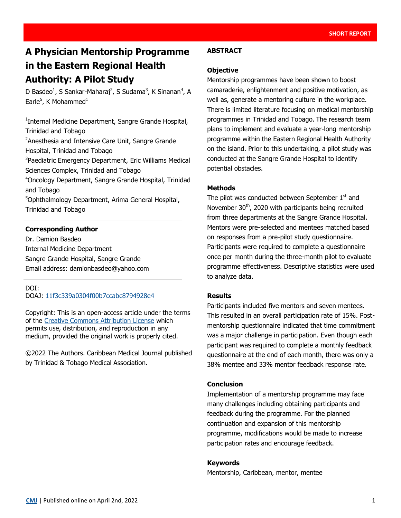# **A Physician Mentorship Programme in the Eastern Regional Health Authority: A Pilot Study**

D Basdeo<sup>1</sup>, S Sankar-Maharaj<sup>2</sup>, S Sudama<sup>3</sup>, K Sinanan<sup>4</sup>, A Earle<sup>5</sup>, K Mohammed<sup>1</sup>

<sup>1</sup>Internal Medicine Department, Sangre Grande Hospital, Trinidad and Tobago <sup>2</sup> Anesthesia and Intensive Care Unit, Sangre Grande Hospital, Trinidad and Tobago <sup>3</sup>Paediatric Emergency Department, Eric Williams Medical Sciences Complex, Trinidad and Tobago <sup>4</sup>Oncology Department, Sangre Grande Hospital, Trinidad and Tobago <sup>5</sup>Ophthalmology Department, Arima General Hospital, Trinidad and Tobago

## **Corresponding Author**

Dr. Damion Basdeo Internal Medicine Department Sangre Grande Hospital, Sangre Grande Email address: damionbasdeo@yahoo.com

#### DOI:

DOAJ: [11f3c339a0304f00b7ccabc8794928e4](https://doaj.org/article/11f3c339a0304f00b7ccabc8794928e4)

Copyright: This is an open-access article under the terms of the [Creative Commons Attribution License](https://creativecommons.org/licenses/by/4.0/) which permits use, distribution, and reproduction in any medium, provided the original work is properly cited.

©2022 The Authors. Caribbean Medical Journal published by Trinidad & Tobago Medical Association.

#### **ABSTRACT**

#### **Objective**

Mentorship programmes have been shown to boost camaraderie, enlightenment and positive motivation, as well as, generate a mentoring culture in the workplace. There is limited literature focusing on medical mentorship programmes in Trinidad and Tobago. The research team plans to implement and evaluate a year-long mentorship programme within the Eastern Regional Health Authority on the island. Prior to this undertaking, a pilot study was conducted at the Sangre Grande Hospital to identify potential obstacles.

#### **Methods**

The pilot was conducted between September  $1<sup>st</sup>$  and November 30<sup>th</sup>, 2020 with participants being recruited from three departments at the Sangre Grande Hospital. Mentors were pre-selected and mentees matched based on responses from a pre-pilot study questionnaire. Participants were required to complete a questionnaire once per month during the three-month pilot to evaluate programme effectiveness. Descriptive statistics were used to analyze data.

#### **Results**

Participants included five mentors and seven mentees. This resulted in an overall participation rate of 15%. Postmentorship questionnaire indicated that time commitment was a major challenge in participation. Even though each participant was required to complete a monthly feedback questionnaire at the end of each month, there was only a 38% mentee and 33% mentor feedback response rate.

#### **Conclusion**

Implementation of a mentorship programme may face many challenges including obtaining participants and feedback during the programme. For the planned continuation and expansion of this mentorship programme, modifications would be made to increase participation rates and encourage feedback.

#### **Keywords**

Mentorship, Caribbean, mentor, mentee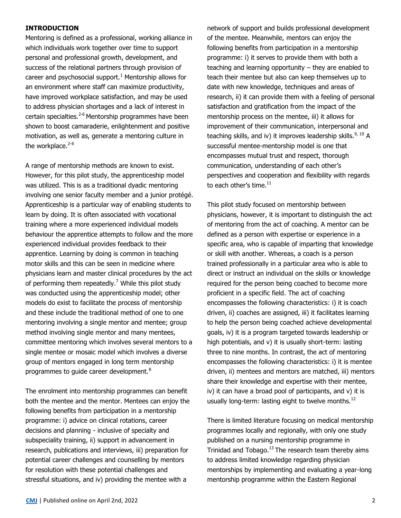#### **INTRODUCTION**

Mentoring is defined as a professional, working alliance in which individuals work together over time to support personal and professional growth, development, and success of the relational partners through provision of career and psychosocial support. $1$  Mentorship allows for an environment where staff can maximize productivity, have improved workplace satisfaction, and may be used to address physician shortages and a lack of interest in certain specialties.<sup>2-6</sup> Mentorship programmes have been shown to boost camaraderie, enlightenment and positive motivation, as well as, generate a mentoring culture in the workplace. $2-6$ 

A range of mentorship methods are known to exist. However, for this pilot study, the apprenticeship model was utilized. This is as a traditional dyadic mentoring involving one senior faculty member and a junior protégé. Apprenticeship is a particular way of enabling students to learn by doing. It is often associated with vocational training where a more experienced individual models behaviour the apprentice attempts to follow and the more experienced individual provides feedback to their apprentice. Learning by doing is common in teaching motor skills and this can be seen in medicine where physicians learn and master clinical procedures by the act of performing them repeatedly.<sup>7</sup> While this pilot study was conducted using the apprenticeship model; other models do exist to facilitate the process of mentorship and these include the traditional method of one to one mentoring involving a single mentor and mentee; group method involving single mentor and many mentees, committee mentoring which involves several mentors to a single mentee or mosaic model which involves a diverse group of mentors engaged in long term mentorship programmes to guide career development. $8$ 

The enrolment into mentorship programmes can benefit both the mentee and the mentor. Mentees can enjoy the following benefits from participation in a mentorship programme: i) advice on clinical rotations, career decisions and planning - inclusive of specialty and subspeciality training, ii) support in advancement in research, publications and interviews, iii) preparation for potential career challenges and counselling by mentors for resolution with these potential challenges and stressful situations, and iv) providing the mentee with a

network of support and builds professional development of the mentee. Meanwhile, mentors can enjoy the following benefits from participation in a mentorship programme: i) it serves to provide them with both a teaching and learning opportunity – they are enabled to teach their mentee but also can keep themselves up to date with new knowledge, techniques and areas of research, ii) it can provide them with a feeling of personal satisfaction and gratification from the impact of the mentorship process on the mentee, iii) it allows for improvement of their communication, interpersonal and teaching skills, and iv) it improves leadership skills.  $9,10$  A successful mentee-mentorship model is one that encompasses mutual trust and respect, thorough communication, understanding of each other's perspectives and cooperation and flexibility with regards to each other's time. $11$ 

This pilot study focused on mentorship between physicians, however, it is important to distinguish the act of mentoring from the act of coaching. A mentor can be defined as a person with expertise or experience in a specific area, who is capable of imparting that knowledge or skill with another. Whereas, a coach is a person trained professionally in a particular area who is able to direct or instruct an individual on the skills or knowledge required for the person being coached to become more proficient in a specific field. The act of coaching encompasses the following characteristics: i) it is coach driven, ii) coaches are assigned, iii) it facilitates learning to help the person being coached achieve developmental goals, iv) it is a program targeted towards leadership or high potentials, and v) it is usually short-term: lasting three to nine months. In contrast, the act of mentoring encompasses the following characteristics: i) it is mentee driven, ii) mentees and mentors are matched, iii) mentors share their knowledge and expertise with their mentee, iv) it can have a broad pool of participants, and v) it is usually long-term: lasting eight to twelve months. $^{12}$ 

There is limited literature focusing on medical mentorship programmes locally and regionally, with only one study published on a nursing mentorship programme in Trinidad and Tobago. $13$ The research team thereby aims to address limited knowledge regarding physician mentorships by implementing and evaluating a year-long mentorship programme within the Eastern Regional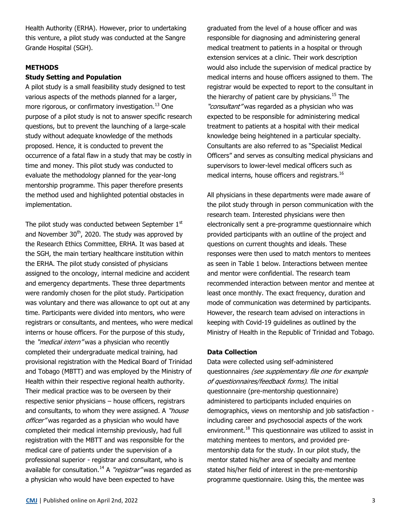Health Authority (ERHA). However, prior to undertaking this venture, a pilot study was conducted at the Sangre Grande Hospital (SGH).

#### **METHODS**

#### **Study Setting and Population**

A pilot study is a small feasibility study designed to test various aspects of the methods planned for a larger, more rigorous, or confirmatory investigation.<sup>13</sup> One purpose of a pilot study is not to answer specific research questions, but to prevent the launching of a large-scale study without adequate knowledge of the methods proposed. Hence, it is conducted to prevent the occurrence of a fatal flaw in a study that may be costly in time and money. This pilot study was conducted to evaluate the methodology planned for the year-long mentorship programme. This paper therefore presents the method used and highlighted potential obstacles in implementation.

The pilot study was conducted between September 1st and November  $30<sup>th</sup>$ , 2020. The study was approved by the Research Ethics Committee, ERHA. It was based at the SGH, the main tertiary healthcare institution within the ERHA. The pilot study consisted of physicians assigned to the oncology, internal medicine and accident and emergency departments. These three departments were randomly chosen for the pilot study. Participation was voluntary and there was allowance to opt out at any time. Participants were divided into mentors, who were registrars or consultants, and mentees, who were medical interns or house officers. For the purpose of this study, the "*medical intern"* was a physician who recently completed their undergraduate medical training, had provisional registration with the Medical Board of Trinidad and Tobago (MBTT) and was employed by the Ministry of Health within their respective regional health authority. Their medical practice was to be overseen by their respective senior physicians – house officers, registrars and consultants, to whom they were assigned. A "house officer" was regarded as a physician who would have completed their medical internship previously, had full registration with the MBTT and was responsible for the medical care of patients under the supervision of a professional superior - registrar and consultant, who is available for consultation.<sup>14</sup> A "*registrar*" was regarded as a physician who would have been expected to have

graduated from the level of a house officer and was responsible for diagnosing and administering general medical treatment to patients in a hospital or through extension services at a clinic. Their work description would also include the supervision of medical practice by medical interns and house officers assigned to them. The registrar would be expected to report to the consultant in the hierarchy of patient care by physicians. $15$  The "consultant" was regarded as a physician who was expected to be responsible for administering medical treatment to patients at a hospital with their medical knowledge being heightened in a particular specialty. Consultants are also referred to as "Specialist Medical Officers" and serves as consulting medical physicians and supervisors to lower-level medical officers such as medical interns, house officers and registrars.<sup>16</sup>

All physicians in these departments were made aware of the pilot study through in person communication with the research team. Interested physicians were then electronically sent a pre-programme questionnaire which provided participants with an outline of the project and questions on current thoughts and ideals. These responses were then used to match mentors to mentees as seen in Table 1 below. Interactions between mentee and mentor were confidential. The research team recommended interaction between mentor and mentee at least once monthly. The exact frequency, duration and mode of communication was determined by participants. However, the research team advised on interactions in keeping with Covid-19 guidelines as outlined by the Ministry of Health in the Republic of Trinidad and Tobago.

#### **Data Collection**

Data were collected using self-administered questionnaires (see supplementary file one for example of questionnaires/feedback forms). The initial questionnaire (pre-mentorship questionnaire) administered to participants included enquiries on demographics, views on mentorship and job satisfaction including career and psychosocial aspects of the work environment.<sup>18</sup> This questionnaire was utilized to assist in matching mentees to mentors, and provided prementorship data for the study. In our pilot study, the mentor stated his/her area of specialty and mentee stated his/her field of interest in the pre-mentorship programme questionnaire. Using this, the mentee was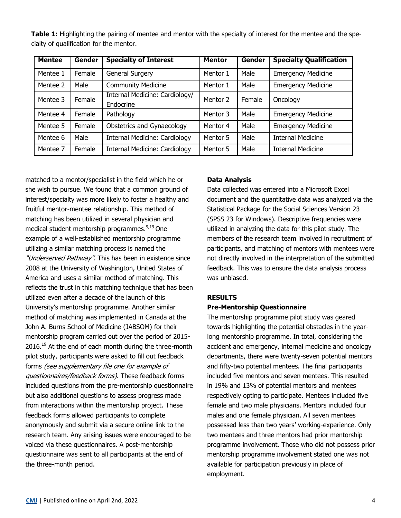| Table 1: Highlighting the pairing of mentee and mentor with the specialty of interest for the mentee and the spe- |  |  |  |  |  |
|-------------------------------------------------------------------------------------------------------------------|--|--|--|--|--|
| cialty of qualification for the mentor.                                                                           |  |  |  |  |  |

| <b>Mentee</b> | Gender | <b>Specialty of Interest</b>                | <b>Mentor</b> | Gender | <b>Specialty Qualification</b> |  |
|---------------|--------|---------------------------------------------|---------------|--------|--------------------------------|--|
| Mentee 1      | Female | <b>General Surgery</b>                      | Mentor 1      | Male   | <b>Emergency Medicine</b>      |  |
| Mentee 2      | Male   | <b>Community Medicine</b>                   | Mentor 1      | Male   | <b>Emergency Medicine</b>      |  |
| Mentee 3      | Female | Internal Medicine: Cardiology/<br>Endocrine | Mentor 2      | Female | Oncology                       |  |
| Mentee 4      | Female | Pathology                                   | Mentor 3      | Male   | <b>Emergency Medicine</b>      |  |
| Mentee 5      | Female | Obstetrics and Gynaecology                  | Mentor 4      | Male   | <b>Emergency Medicine</b>      |  |
| Mentee 6      | Male   | <b>Internal Medicine: Cardiology</b>        | Mentor 5      | Male   | <b>Internal Medicine</b>       |  |
| Mentee 7      | Female | <b>Internal Medicine: Cardiology</b>        | Mentor 5      | Male   | <b>Internal Medicine</b>       |  |

matched to a mentor/specialist in the field which he or she wish to pursue. We found that a common ground of interest/specialty was more likely to foster a healthy and fruitful mentor-mentee relationship. This method of matching has been utilized in several physician and medical student mentorship programmes.<sup>9,19</sup> One example of a well-established mentorship programme utilizing a similar matching process is named the "Underserved Pathway". This has been in existence since 2008 at the University of Washington, United States of America and uses a similar method of matching. This reflects the trust in this matching technique that has been utilized even after a decade of the launch of this University's mentorship programme. Another similar method of matching was implemented in Canada at the John A. Burns School of Medicine (JABSOM) for their mentorship program carried out over the period of 2015- 2016.<sup>19</sup> At the end of each month during the three-month pilot study, participants were asked to fill out feedback forms (see supplementary file one for example of questionnaires/feedback forms). These feedback forms included questions from the pre-mentorship questionnaire but also additional questions to assess progress made from interactions within the mentorship project. These feedback forms allowed participants to complete anonymously and submit via a secure online link to the research team. Any arising issues were encouraged to be voiced via these questionnaires. A post-mentorship questionnaire was sent to all participants at the end of the three-month period.

# **Data Analysis**

Data collected was entered into a Microsoft Excel document and the quantitative data was analyzed via the Statistical Package for the Social Sciences Version 23 (SPSS 23 for Windows). Descriptive frequencies were utilized in analyzing the data for this pilot study. The members of the research team involved in recruitment of participants, and matching of mentors with mentees were not directly involved in the interpretation of the submitted feedback. This was to ensure the data analysis process was unbiased.

## **RESULTS**

## **Pre-Mentorship Questionnaire**

The mentorship programme pilot study was geared towards highlighting the potential obstacles in the yearlong mentorship programme. In total, considering the accident and emergency, internal medicine and oncology departments, there were twenty-seven potential mentors and fifty-two potential mentees. The final participants included five mentors and seven mentees. This resulted in 19% and 13% of potential mentors and mentees respectively opting to participate. Mentees included five female and two male physicians. Mentors included four males and one female physician. All seven mentees possessed less than two years' working-experience. Only two mentees and three mentors had prior mentorship programme involvement. Those who did not possess prior mentorship programme involvement stated one was not available for participation previously in place of employment.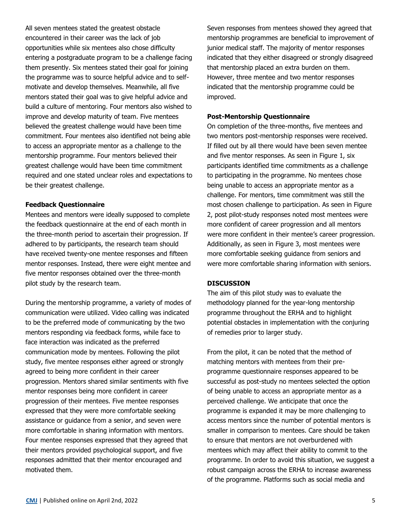All seven mentees stated the greatest obstacle encountered in their career was the lack of job opportunities while six mentees also chose difficulty entering a postgraduate program to be a challenge facing them presently. Six mentees stated their goal for joining the programme was to source helpful advice and to selfmotivate and develop themselves. Meanwhile, all five mentors stated their goal was to give helpful advice and build a culture of mentoring. Four mentors also wished to improve and develop maturity of team. Five mentees believed the greatest challenge would have been time commitment. Four mentees also identified not being able to access an appropriate mentor as a challenge to the mentorship programme. Four mentors believed their greatest challenge would have been time commitment required and one stated unclear roles and expectations to be their greatest challenge.

#### **Feedback Questionnaire**

Mentees and mentors were ideally supposed to complete the feedback questionnaire at the end of each month in the three-month period to ascertain their progression. If adhered to by participants, the research team should have received twenty-one mentee responses and fifteen mentor responses. Instead, there were eight mentee and five mentor responses obtained over the three-month pilot study by the research team.

During the mentorship programme, a variety of modes of communication were utilized. Video calling was indicated to be the preferred mode of communicating by the two mentors responding via feedback forms, while face to face interaction was indicated as the preferred communication mode by mentees. Following the pilot study, five mentee responses either agreed or strongly agreed to being more confident in their career progression. Mentors shared similar sentiments with five mentor responses being more confident in career progression of their mentees. Five mentee responses expressed that they were more comfortable seeking assistance or guidance from a senior, and seven were more comfortable in sharing information with mentors. Four mentee responses expressed that they agreed that their mentors provided psychological support, and five responses admitted that their mentor encouraged and motivated them.

Seven responses from mentees showed they agreed that mentorship programmes are beneficial to improvement of junior medical staff. The majority of mentor responses indicated that they either disagreed or strongly disagreed that mentorship placed an extra burden on them. However, three mentee and two mentor responses indicated that the mentorship programme could be improved.

#### **Post-Mentorship Questionnaire**

On completion of the three-months, five mentees and two mentors post-mentorship responses were received. If filled out by all there would have been seven mentee and five mentor responses. As seen in Figure 1, six participants identified time commitments as a challenge to participating in the programme. No mentees chose being unable to access an appropriate mentor as a challenge. For mentors, time commitment was still the most chosen challenge to participation. As seen in Figure 2, post pilot-study responses noted most mentees were more confident of career progression and all mentors were more confident in their mentee's career progression. Additionally, as seen in Figure 3, most mentees were more comfortable seeking guidance from seniors and were more comfortable sharing information with seniors.

#### **DISCUSSION**

The aim of this pilot study was to evaluate the methodology planned for the year-long mentorship programme throughout the ERHA and to highlight potential obstacles in implementation with the conjuring of remedies prior to larger study.

From the pilot, it can be noted that the method of matching mentors with mentees from their preprogramme questionnaire responses appeared to be successful as post-study no mentees selected the option of being unable to access an appropriate mentor as a perceived challenge. We anticipate that once the programme is expanded it may be more challenging to access mentors since the number of potential mentors is smaller in comparison to mentees. Care should be taken to ensure that mentors are not overburdened with mentees which may affect their ability to commit to the programme. In order to avoid this situation, we suggest a robust campaign across the ERHA to increase awareness of the programme. Platforms such as social media and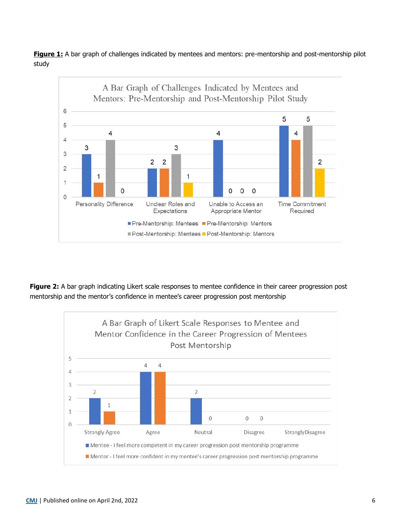**Figure 1:** A bar graph of challenges indicated by mentees and mentors: pre-mentorship and post-mentorship pilot study



**Figure 2:** A bar graph indicating Likert scale responses to mentee confidence in their career progression post mentorship and the mentor's confidence in mentee's career progression post mentorship

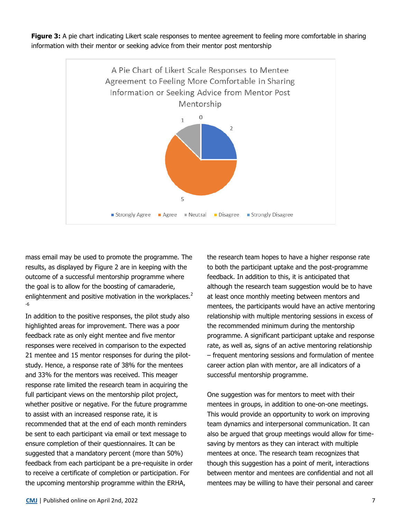**Figure 3:** A pie chart indicating Likert scale responses to mentee agreement to feeling more comfortable in sharing information with their mentor or seeking advice from their mentor post mentorship



mass email may be used to promote the programme. The results, as displayed by Figure 2 are in keeping with the outcome of a successful mentorship programme where the goal is to allow for the boosting of camaraderie, enlightenment and positive motivation in the workplaces. $<sup>2</sup>$ </sup> -6

In addition to the positive responses, the pilot study also highlighted areas for improvement. There was a poor feedback rate as only eight mentee and five mentor responses were received in comparison to the expected 21 mentee and 15 mentor responses for during the pilotstudy. Hence, a response rate of 38% for the mentees and 33% for the mentors was received. This meager response rate limited the research team in acquiring the full participant views on the mentorship pilot project, whether positive or negative. For the future programme to assist with an increased response rate, it is recommended that at the end of each month reminders be sent to each participant via email or text message to ensure completion of their questionnaires. It can be suggested that a mandatory percent (more than 50%) feedback from each participant be a pre-requisite in order to receive a certificate of completion or participation. For the upcoming mentorship programme within the ERHA,

the research team hopes to have a higher response rate to both the participant uptake and the post-programme feedback. In addition to this, it is anticipated that although the research team suggestion would be to have at least once monthly meeting between mentors and mentees, the participants would have an active mentoring relationship with multiple mentoring sessions in excess of the recommended minimum during the mentorship programme. A significant participant uptake and response rate, as well as, signs of an active mentoring relationship – frequent mentoring sessions and formulation of mentee career action plan with mentor, are all indicators of a successful mentorship programme.

One suggestion was for mentors to meet with their mentees in groups, in addition to one-on-one meetings. This would provide an opportunity to work on improving team dynamics and interpersonal communication. It can also be argued that group meetings would allow for timesaving by mentors as they can interact with multiple mentees at once. The research team recognizes that though this suggestion has a point of merit, interactions between mentor and mentees are confidential and not all mentees may be willing to have their personal and career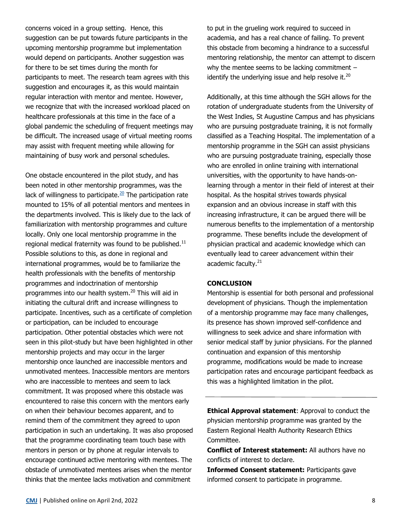concerns voiced in a group setting. Hence, this suggestion can be put towards future participants in the upcoming mentorship programme but implementation would depend on participants. Another suggestion was for there to be set times during the month for participants to meet. The research team agrees with this suggestion and encourages it, as this would maintain regular interaction with mentor and mentee. However, we recognize that with the increased workload placed on healthcare professionals at this time in the face of a global pandemic the scheduling of frequent meetings may be difficult. The increased usage of virtual meeting rooms may assist with frequent meeting while allowing for maintaining of busy work and personal schedules.

One obstacle encountered in the pilot study, and has been noted in other mentorship programmes, was the lack of willingness to participate. $20$  The participation rate mounted to 15% of all potential mentors and mentees in the departments involved. This is likely due to the lack of familiarization with mentorship programmes and culture locally. Only one local mentorship programme in the regional medical fraternity was found to be published. $^{11}$ Possible solutions to this, as done in regional and international programmes, would be to familiarize the health professionals with the benefits of mentorship programmes and indoctrination of mentorship programmes into our health system.<sup>20</sup> This will aid in initiating the cultural drift and increase willingness to participate. Incentives, such as a certificate of completion or participation, can be included to encourage participation. Other potential obstacles which were not seen in this pilot-study but have been highlighted in other mentorship projects and may occur in the larger mentorship once launched are inaccessible mentors and unmotivated mentees. Inaccessible mentors are mentors who are inaccessible to mentees and seem to lack commitment. It was proposed where this obstacle was encountered to raise this concern with the mentors early on when their behaviour becomes apparent, and to remind them of the commitment they agreed to upon participation in such an undertaking. It was also proposed that the programme coordinating team touch base with mentors in person or by phone at regular intervals to encourage continued active mentoring with mentees. The obstacle of unmotivated mentees arises when the mentor thinks that the mentee lacks motivation and commitment

to put in the grueling work required to succeed in academia, and has a real chance of failing. To prevent this obstacle from becoming a hindrance to a successful mentoring relationship, the mentor can attempt to discern why the mentee seems to be lacking commitment – identify the underlying issue and help resolve it. $^{20}$ 

Additionally, at this time although the SGH allows for the rotation of undergraduate students from the University of the West Indies, St Augustine Campus and has physicians who are pursuing postgraduate training, it is not formally classified as a Teaching Hospital. The implementation of a mentorship programme in the SGH can assist physicians who are pursuing postgraduate training, especially those who are enrolled in online training with international universities, with the opportunity to have hands-onlearning through a mentor in their field of interest at their hospital. As the hospital strives towards physical expansion and an obvious increase in staff with this increasing infrastructure, it can be argued there will be numerous benefits to the implementation of a mentorship programme. These benefits include the development of physician practical and academic knowledge which can eventually lead to career advancement within their academic faculty.<sup>21</sup>

#### **CONCLUSION**

Mentorship is essential for both personal and professional development of physicians. Though the implementation of a mentorship programme may face many challenges, its presence has shown improved self-confidence and willingness to seek advice and share information with senior medical staff by junior physicians. For the planned continuation and expansion of this mentorship programme, modifications would be made to increase participation rates and encourage participant feedback as this was a highlighted limitation in the pilot.

**Ethical Approval statement**: Approval to conduct the physician mentorship programme was granted by the Eastern Regional Health Authority Research Ethics Committee.

**Conflict of Interest statement:** All authors have no conflicts of interest to declare.

**Informed Consent statement:** Participants gave informed consent to participate in programme.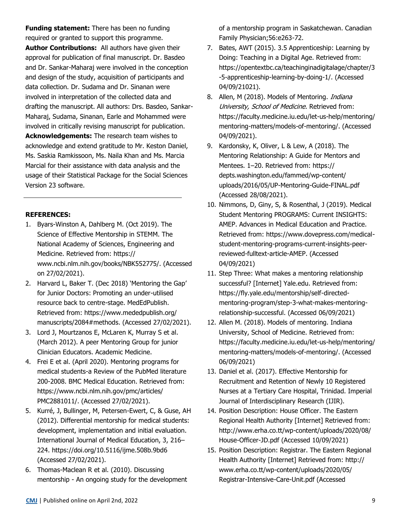**Funding statement:** There has been no funding required or granted to support this programme. **Author Contributions:** All authors have given their approval for publication of final manuscript. Dr. Basdeo and Dr. Sankar-Maharaj were involved in the conception and design of the study, acquisition of participants and data collection. Dr. Sudama and Dr. Sinanan were involved in interpretation of the collected data and drafting the manuscript. All authors: Drs. Basdeo, Sankar-Maharaj, Sudama, Sinanan, Earle and Mohammed were involved in critically revising manuscript for publication. **Acknowledgements:** The research team wishes to acknowledge and extend gratitude to Mr. Keston Daniel, Ms. Saskia Ramkissoon, Ms. Naila Khan and Ms. Marcia Marcial for their assistance with data analysis and the usage of their Statistical Package for the Social Sciences Version 23 software.

## **REFERENCES:**

- 1. Byars-Winston A, Dahlberg M. (Oct 2019). The Science of Effective Mentorship in STEMM. The National Academy of Sciences, Engineering and Medicine. Retrieved from: https:// www.ncbi.nlm.nih.gov/books/NBK552775/. (Accessed on 27/02/2021).
- 2. Harvard L, Baker T. (Dec 2018) 'Mentoring the Gap' for Junior Doctors: Promoting an under-utilised resource back to centre-stage. MedEdPublish. Retrieved from: https://www.mededpublish.org/ manuscripts/2084#methods. (Accessed 27/02/2021).
- 3. Lord J, Mourtzanos E, McLaren K, Murray S et al. (March 2012). A peer Mentoring Group for junior Clinician Educators. Academic Medicine.
- 4. Frei E et al. (April 2020). Mentoring programs for medical students-a Review of the PubMed literature 200-2008. BMC Medical Education. Retrieved from: https://www.ncbi.nlm.nih.gov/pmc/articles/ PMC2881011/. (Accessed 27/02/2021).
- 5. Kurré, J, Bullinger, M, Petersen-Ewert, C, & Guse, AH (2012). Differential mentorship for medical students: development, implementation and initial evaluation. International Journal of Medical Education, 3, 216– 224. https://doi.org/10.5116/ijme.508b.9bd6 (Accessed 27/02/2021).
- 6. Thomas-Maclean R et al. (2010). Discussing mentorship - An ongoing study for the development

of a mentorship program in Saskatchewan. Canadian Family Physician;56:e263-72.

- 7. Bates, AWT (2015). 3.5 Apprenticeship: Learning by Doing: Teaching in a Digital Age. Retrieved from: https://opentextbc.ca/teachinginadigitalage/chapter/3 -5-apprenticeship-learning-by-doing-1/. (Accessed 04/09/21021).
- 8. Allen, M (2018). Models of Mentoring. *Indiana* University, School of Medicine. Retrieved from: https://faculty.medicine.iu.edu/let-us-help/mentoring/ mentoring-matters/models-of-mentoring/. (Accessed 04/09/2021).
- 9. Kardonsky, K, Oliver, L & Lew, A (2018). The Mentoring Relationship: A Guide for Mentors and Mentees. 1–20. Retrieved from: https:// depts.washington.edu/fammed/wp-content/ uploads/2016/05/UP-Mentoring-Guide-FINAL.pdf (Accessed 28/08/2021).
- 10. Nimmons, D, Giny, S, & Rosenthal, J (2019). Medical Student Mentoring PROGRAMS: Current INSIGHTS: AMEP. Advances in Medical Education and Practice. Retrieved from: https://www.dovepress.com/medicalstudent-mentoring-programs-current-insights-peerreviewed-fulltext-article-AMEP. (Accessed 04/09/2021)
- 11. Step Three: What makes a mentoring relationship successful? [Internet] Yale.edu. Retrieved from: https://fly.yale.edu/mentorship/self-directedmentoring-program/step-3-what-makes-mentoringrelationship-successful. (Accessed 06/09/2021)
- 12. Allen M. (2018). Models of mentoring. Indiana University, School of Medicine. Retrieved from: https://faculty.medicine.iu.edu/let-us-help/mentoring/ mentoring-matters/models-of-mentoring/. (Accessed 06/09/2021)
- 13. Daniel et al. (2017). Effective Mentorship for Recruitment and Retention of Newly 10 Registered Nurses at a Tertiary Care Hospital, Trinidad. Imperial Journal of Interdisciplinary Research (IJIR).
- 14. Position Description: House Officer. The Eastern Regional Health Authority [Internet] Retrieved from: http://www.erha.co.tt/wp-content/uploads/2020/08/ House-Officer-JD.pdf (Accessed 10/09/2021)
- 15. Position Description: Registrar. The Eastern Regional Health Authority [Internet] Retrieved from: http:// www.erha.co.tt/wp-content/uploads/2020/05/ Registrar-Intensive-Care-Unit.pdf (Accessed